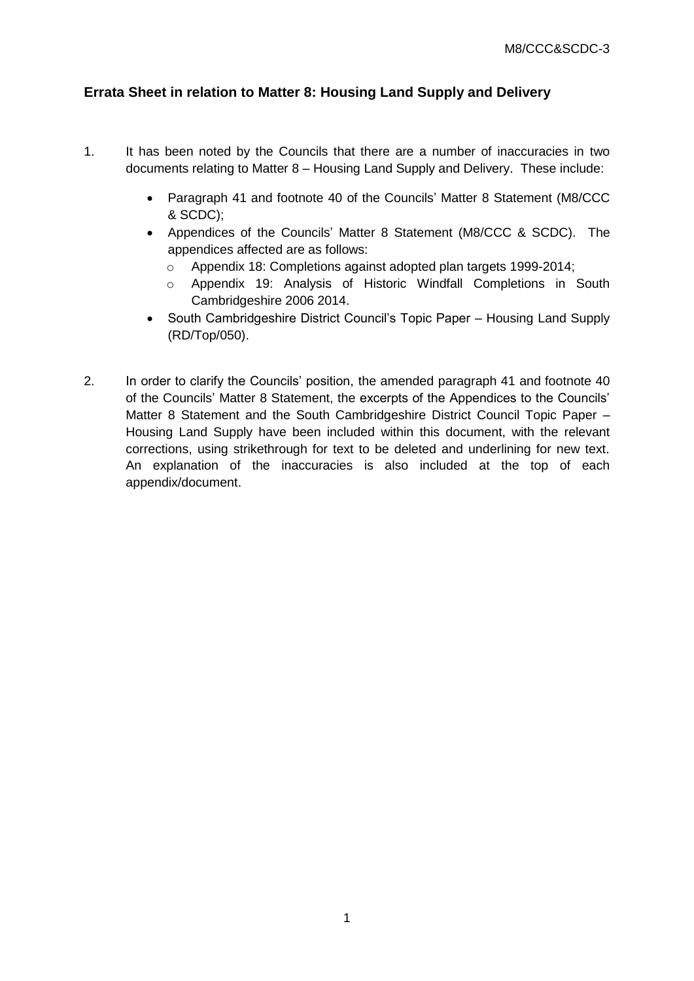# **Errata Sheet in relation to Matter 8: Housing Land Supply and Delivery**

- 1. It has been noted by the Councils that there are a number of inaccuracies in two documents relating to Matter 8 – Housing Land Supply and Delivery. These include:
	- Paragraph 41 and footnote 40 of the Councils' Matter 8 Statement (M8/CCC & SCDC);
	- Appendices of the Councils' Matter 8 Statement (M8/CCC & SCDC). The appendices affected are as follows:
		- o Appendix 18: Completions against adopted plan targets 1999-2014;
		- o Appendix 19: Analysis of Historic Windfall Completions in South Cambridgeshire 2006 2014.
	- South Cambridgeshire District Council's Topic Paper Housing Land Supply (RD/Top/050).
- 2. In order to clarify the Councils' position, the amended paragraph 41 and footnote 40 of the Councils' Matter 8 Statement, the excerpts of the Appendices to the Councils' Matter 8 Statement and the South Cambridgeshire District Council Topic Paper – Housing Land Supply have been included within this document, with the relevant corrections, using strikethrough for text to be deleted and underlining for new text. An explanation of the inaccuracies is also included at the top of each appendix/document.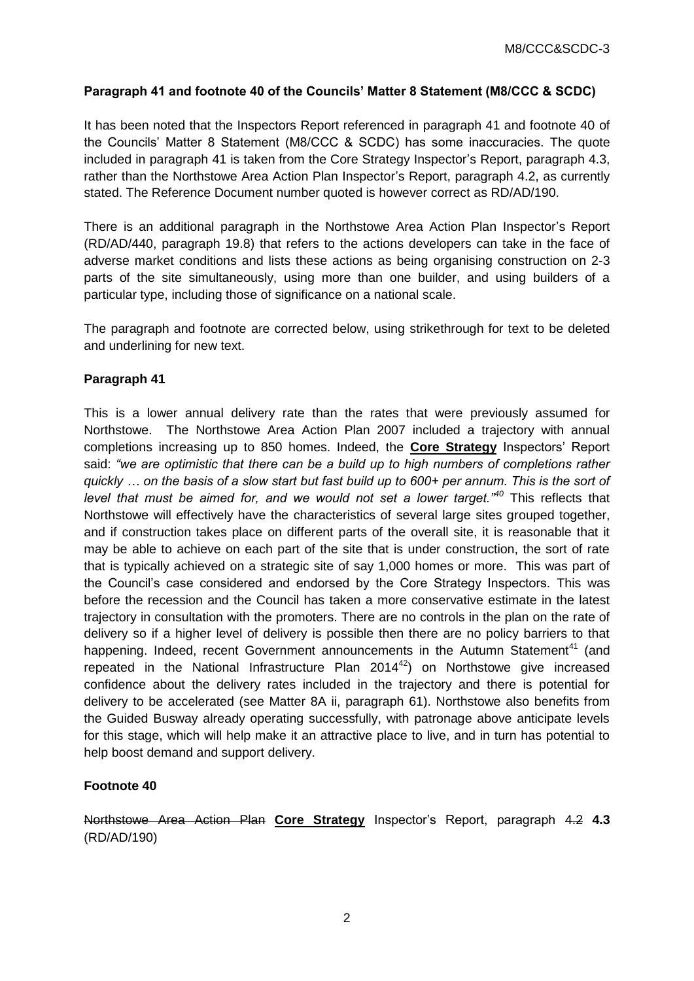### **Paragraph 41 and footnote 40 of the Councils' Matter 8 Statement (M8/CCC & SCDC)**

It has been noted that the Inspectors Report referenced in paragraph 41 and footnote 40 of the Councils' Matter 8 Statement (M8/CCC & SCDC) has some inaccuracies. The quote included in paragraph 41 is taken from the Core Strategy Inspector's Report, paragraph 4.3, rather than the Northstowe Area Action Plan Inspector's Report, paragraph 4.2, as currently stated. The Reference Document number quoted is however correct as RD/AD/190.

There is an additional paragraph in the Northstowe Area Action Plan Inspector's Report (RD/AD/440, paragraph 19.8) that refers to the actions developers can take in the face of adverse market conditions and lists these actions as being organising construction on 2-3 parts of the site simultaneously, using more than one builder, and using builders of a particular type, including those of significance on a national scale.

The paragraph and footnote are corrected below, using strikethrough for text to be deleted and underlining for new text.

#### **Paragraph 41**

This is a lower annual delivery rate than the rates that were previously assumed for Northstowe. The Northstowe Area Action Plan 2007 included a trajectory with annual completions increasing up to 850 homes. Indeed, the **Core Strategy** Inspectors' Report said: *"we are optimistic that there can be a build up to high numbers of completions rather quickly … on the basis of a slow start but fast build up to 600+ per annum. This is the sort of level that must be aimed for, and we would not set a lower target."<sup>40</sup>* This reflects that Northstowe will effectively have the characteristics of several large sites grouped together, and if construction takes place on different parts of the overall site, it is reasonable that it may be able to achieve on each part of the site that is under construction, the sort of rate that is typically achieved on a strategic site of say 1,000 homes or more. This was part of the Council's case considered and endorsed by the Core Strategy Inspectors. This was before the recession and the Council has taken a more conservative estimate in the latest trajectory in consultation with the promoters. There are no controls in the plan on the rate of delivery so if a higher level of delivery is possible then there are no policy barriers to that happening. Indeed, recent Government announcements in the Autumn Statement<sup>41</sup> (and repeated in the National Infrastructure Plan  $2014^{42}$ ) on Northstowe give increased confidence about the delivery rates included in the trajectory and there is potential for delivery to be accelerated (see Matter 8A ii, paragraph 61). Northstowe also benefits from the Guided Busway already operating successfully, with patronage above anticipate levels for this stage, which will help make it an attractive place to live, and in turn has potential to help boost demand and support delivery.

# **Footnote 40**

Northstowe Area Action Plan **Core Strategy** Inspector's Report, paragraph 4.2 **4.3** (RD/AD/190)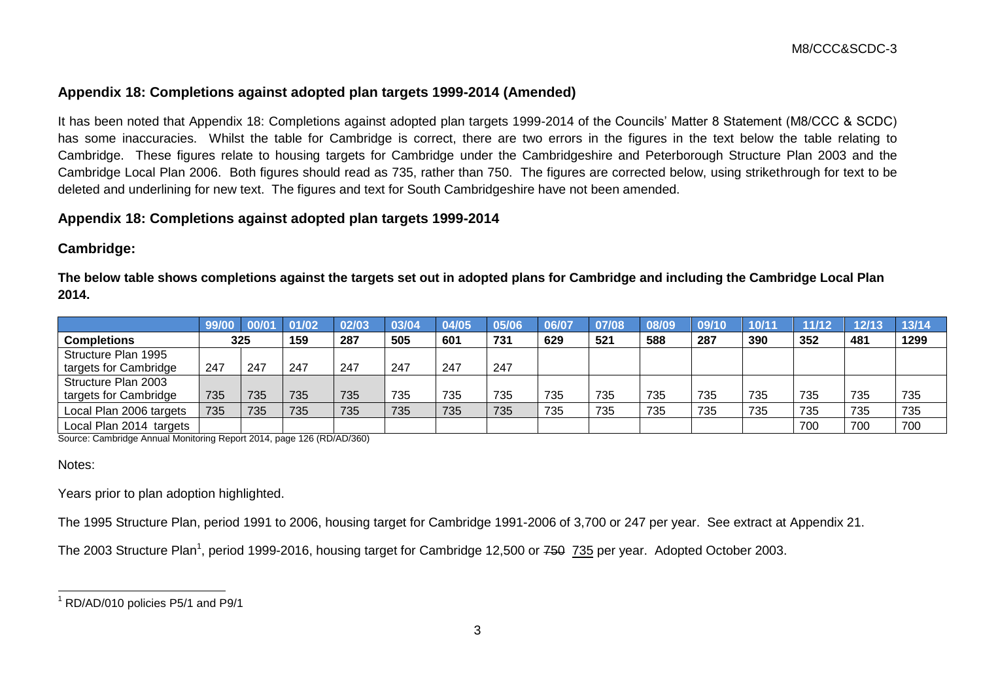# **Appendix 18: Completions against adopted plan targets 1999-2014 (Amended)**

It has been noted that Appendix 18: Completions against adopted plan targets 1999-2014 of the Councils' Matter 8 Statement (M8/CCC & SCDC) has some inaccuracies. Whilst the table for Cambridge is correct, there are two errors in the figures in the text below the table relating to Cambridge. These figures relate to housing targets for Cambridge under the Cambridgeshire and Peterborough Structure Plan 2003 and the Cambridge Local Plan 2006. Both figures should read as 735, rather than 750. The figures are corrected below, using strikethrough for text to be deleted and underlining for new text. The figures and text for South Cambridgeshire have not been amended.

#### **Appendix 18: Completions against adopted plan targets 1999-2014**

### **Cambridge:**

**The below table shows completions against the targets set out in adopted plans for Cambridge and including the Cambridge Local Plan 2014.**

|                         | 99/00 | 00/0 | 01/02 | 02/03 | 03/04 | 04/05 | 05/06 | 06/07 | 07/08 | 08/09 | 09/10 | 10/1 | 11/12 | 12/13 | 13/14 |
|-------------------------|-------|------|-------|-------|-------|-------|-------|-------|-------|-------|-------|------|-------|-------|-------|
| <b>Completions</b>      | 325   |      | 159   | 287   | 505   | 601   | 731   | 629   | 521   | 588   | 287   | 390  | 352   | 481   | 1299  |
| Structure Plan 1995     |       |      |       |       |       |       |       |       |       |       |       |      |       |       |       |
| targets for Cambridge   | 247   | 247  | 247   | 247   | 247   | 247   | 247   |       |       |       |       |      |       |       |       |
| Structure Plan 2003     |       |      |       |       |       |       |       |       |       |       |       |      |       |       |       |
| targets for Cambridge   | 735   | 735  | 735   | 735   | 735   | 735   | 735   | 735   | 735   | 735   | 735   | 735  | 735   | 735   | 735   |
| Local Plan 2006 targets | 735   | 735  | 735   | 735   | 735   | 735   | 735   | 735   | 735   | 735   | 735   | 735  | 735   | 735   | 735   |
| Local Plan 2014 targets |       |      |       |       |       |       |       |       |       |       |       |      | 700   | 700   | 700   |

Source: Cambridge Annual Monitoring Report 2014, page 126 (RD/AD/360)

#### Notes:

Years prior to plan adoption highlighted.

The 1995 Structure Plan, period 1991 to 2006, housing target for Cambridge 1991-2006 of 3,700 or 247 per year. See extract at Appendix 21.

The 2003 Structure Plan<sup>1</sup>, period 1999-2016, housing target for Cambridge 12,500 or <del>750</del> 735 per year. Adopted October 2003.

  $1$  RD/AD/010 policies P5/1 and P9/1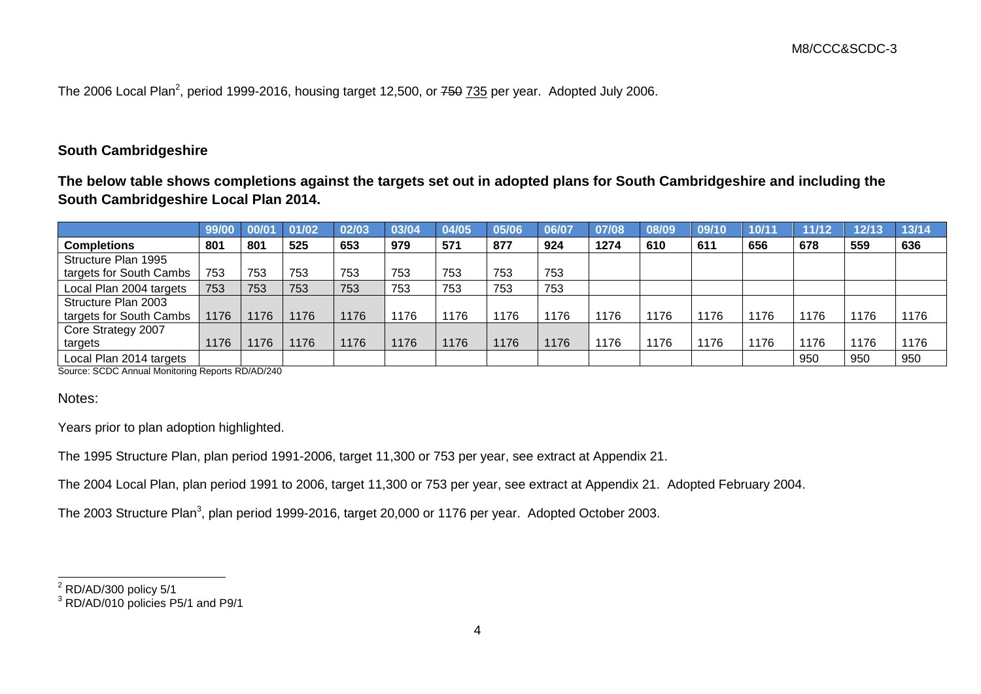The 2006 Local Plan<sup>2</sup>, period 1999-2016, housing target 12,500, or <del>750</del> 735 per year. Adopted July 2006.

# **South Cambridgeshire**

**The below table shows completions against the targets set out in adopted plans for South Cambridgeshire and including the South Cambridgeshire Local Plan 2014.**

|                         | 99/00 | 00/0 | 01/02 | 02/03 | 03/04 | 04/05 | 05/06 | 06/07 | 07/08 | 08/09 | 09/10 | 10/11 | 11/12 | 12/13 | 13/14 |
|-------------------------|-------|------|-------|-------|-------|-------|-------|-------|-------|-------|-------|-------|-------|-------|-------|
| <b>Completions</b>      | 801   | 801  | 525   | 653   | 979   | 571   | 877   | 924   | 1274  | 610   | 611   | 656   | 678   | 559   | 636   |
| Structure Plan 1995     |       |      |       |       |       |       |       |       |       |       |       |       |       |       |       |
| targets for South Cambs | 753   | 753  | 753   | 753   | 753   | 753   | 753   | 753   |       |       |       |       |       |       |       |
| Local Plan 2004 targets | 753   | 753  | 753   | 753   | 753   | 753   | 753   | 753   |       |       |       |       |       |       |       |
| Structure Plan 2003     |       |      |       |       |       |       |       |       |       |       |       |       |       |       |       |
| targets for South Cambs | 1176  | 1176 | 1176  | 1176  | 1176  | 1176  | 1176  | 1176  | 1176  | 1176  | 1176  | 1176  | 1176  | 1176  | 1176  |
| Core Strategy 2007      |       |      |       |       |       |       |       |       |       |       |       |       |       |       |       |
| targets                 | 1176  | 1176 | 1176  | 1176  | 1176  | 1176  | 1176  | 1176  | 1176  | 1176  | 1176  | 1176  | 1176  | 1176  | 1176  |
| Local Plan 2014 targets |       |      |       |       |       |       |       |       |       |       |       |       | 950   | 950   | 950   |

Source: SCDC Annual Monitoring Reports RD/AD/240

Notes:

 $\overline{a}$ 

Years prior to plan adoption highlighted.

The 1995 Structure Plan, plan period 1991-2006, target 11,300 or 753 per year, see extract at Appendix 21.

The 2004 Local Plan, plan period 1991 to 2006, target 11,300 or 753 per year, see extract at Appendix 21. Adopted February 2004.

The 2003 Structure Plan<sup>3</sup>, plan period 1999-2016, target 20,000 or 1176 per year. Adopted October 2003.

 $2$  RD/AD/300 policy 5/1

<sup>&</sup>lt;sup>3</sup> RD/AD/010 policies P5/1 and P9/1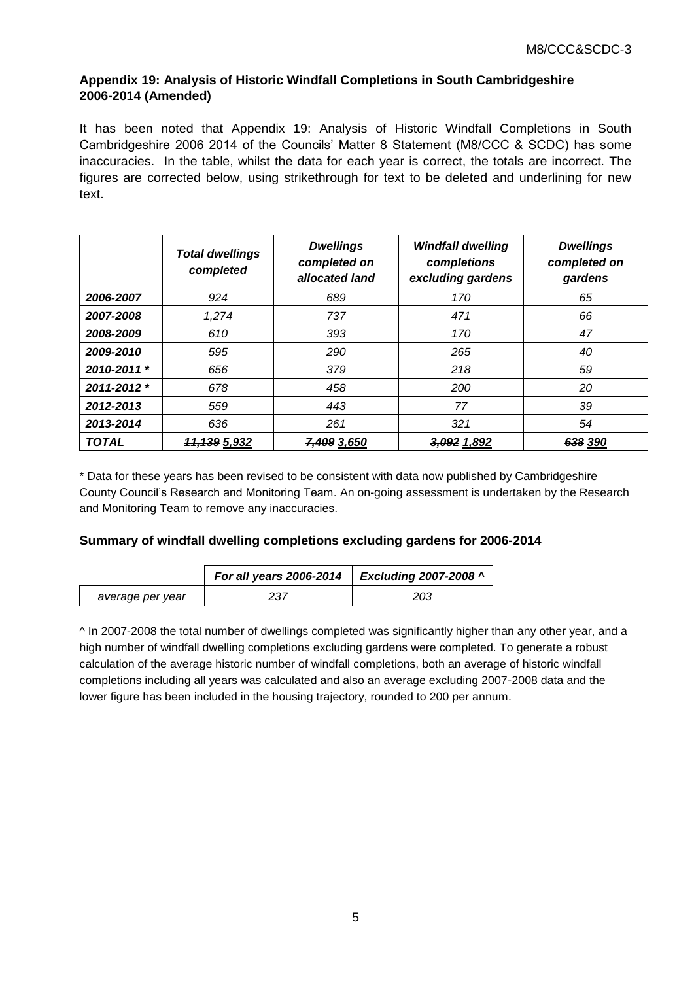### **Appendix 19: Analysis of Historic Windfall Completions in South Cambridgeshire 2006-2014 (Amended)**

It has been noted that Appendix 19: Analysis of Historic Windfall Completions in South Cambridgeshire 2006 2014 of the Councils' Matter 8 Statement (M8/CCC & SCDC) has some inaccuracies. In the table, whilst the data for each year is correct, the totals are incorrect. The figures are corrected below, using strikethrough for text to be deleted and underlining for new text.

|              | <b>Total dwellings</b><br>completed | <b>Dwellings</b><br>completed on<br>allocated land | <b>Windfall dwelling</b><br>completions<br>excluding gardens | <b>Dwellings</b><br>completed on<br>gardens |  |
|--------------|-------------------------------------|----------------------------------------------------|--------------------------------------------------------------|---------------------------------------------|--|
| 2006-2007    | 924                                 | 689                                                | 170                                                          | 65                                          |  |
| 2007-2008    | 1,274                               | 737                                                | 471                                                          | 66                                          |  |
| 2008-2009    | 610                                 | 393                                                | 170                                                          | 47                                          |  |
| 2009-2010    | 595                                 | 290                                                | 265                                                          | 40                                          |  |
| 2010-2011 *  | 656                                 | 379                                                | 218                                                          | 59                                          |  |
| 2011-2012 *  | 678                                 | 458                                                | 200                                                          | 20                                          |  |
| 2012-2013    | 559                                 | 443                                                | 77                                                           | 39                                          |  |
| 2013-2014    | 636                                 | 261                                                | 321                                                          | 54                                          |  |
| <b>TOTAL</b> | <del>11,139</del> 5,932             | 7,409 3,650                                        | 3,092 1,892                                                  | 638 390                                     |  |

\* Data for these years has been revised to be consistent with data now published by Cambridgeshire County Council's Research and Monitoring Team. An on-going assessment is undertaken by the Research and Monitoring Team to remove any inaccuracies.

# **Summary of windfall dwelling completions excluding gardens for 2006-2014**

|                  | For all years 2006-2014 | <b>Excluding 2007-2008 ^</b> |
|------------------|-------------------------|------------------------------|
| average per year | 237                     | 203                          |

^ In 2007-2008 the total number of dwellings completed was significantly higher than any other year, and a high number of windfall dwelling completions excluding gardens were completed. To generate a robust calculation of the average historic number of windfall completions, both an average of historic windfall completions including all years was calculated and also an average excluding 2007-2008 data and the lower figure has been included in the housing trajectory, rounded to 200 per annum.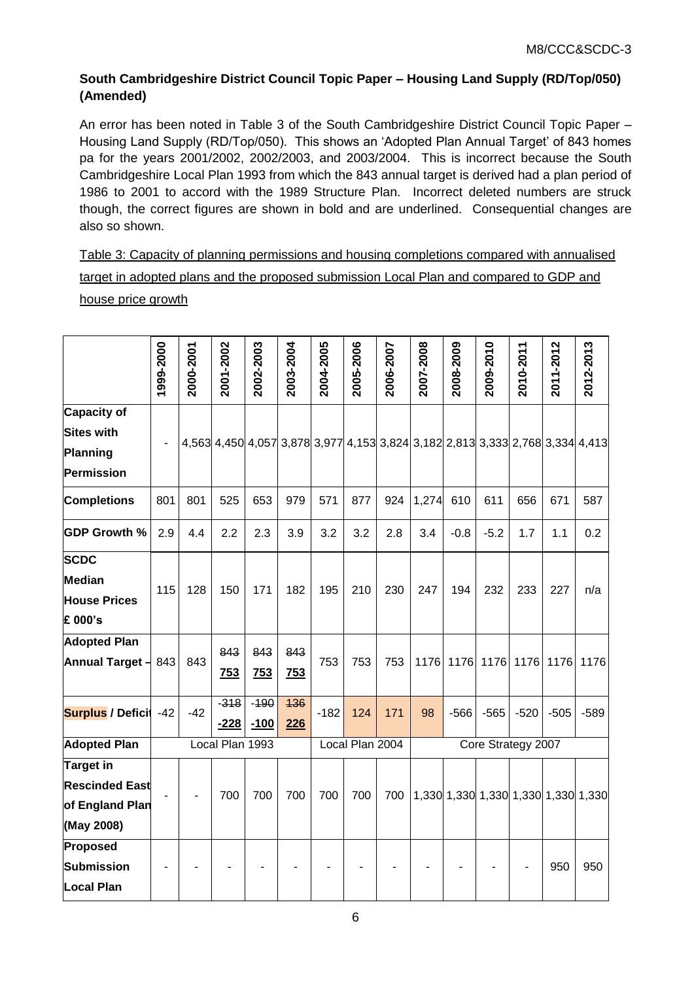# **South Cambridgeshire District Council Topic Paper – Housing Land Supply (RD/Top/050) (Amended)**

An error has been noted in Table 3 of the South Cambridgeshire District Council Topic Paper – Housing Land Supply (RD/Top/050). This shows an 'Adopted Plan Annual Target' of 843 homes pa for the years 2001/2002, 2002/2003, and 2003/2004. This is incorrect because the South Cambridgeshire Local Plan 1993 from which the 843 annual target is derived had a plan period of 1986 to 2001 to accord with the 1989 Structure Plan. Incorrect deleted numbers are struck though, the correct figures are shown in bold and are underlined. Consequential changes are also so shown.

Table 3: Capacity of planning permissions and housing completions compared with annualised target in adopted plans and the proposed submission Local Plan and compared to GDP and house price growth

|                          | 1999-2000 | 2000-2001 | 2001-2002       | 2002-2003 | 2003-2004                                                                     | 2004-2005 | 2005-2006       | 2006-2007 | 2007-2008          | 2008-2009 | 2009-2010 | 2010-2011 | 2011-2012 | 2012-2013                           |
|--------------------------|-----------|-----------|-----------------|-----------|-------------------------------------------------------------------------------|-----------|-----------------|-----------|--------------------|-----------|-----------|-----------|-----------|-------------------------------------|
|                          |           |           |                 |           |                                                                               |           |                 |           |                    |           |           |           |           |                                     |
| <b>Capacity of</b>       |           |           |                 |           |                                                                               |           |                 |           |                    |           |           |           |           |                                     |
| <b>Sites with</b>        |           |           |                 |           | 4,563 4,450 4,057 3,878 3,977 4,153 3,824 3,182 2,813 3,333 2,768 3,334 4,413 |           |                 |           |                    |           |           |           |           |                                     |
| Planning                 |           |           |                 |           |                                                                               |           |                 |           |                    |           |           |           |           |                                     |
| Permission               |           |           |                 |           |                                                                               |           |                 |           |                    |           |           |           |           |                                     |
| <b>Completions</b>       | 801       | 801       | 525             | 653       | 979                                                                           | 571       | 877             | 924       | 1,274              | 610       | 611       | 656       | 671       | 587                                 |
| <b>GDP Growth %</b>      | 2.9       | 4.4       | 2.2             | 2.3       | 3.9                                                                           | 3.2       | 3.2             | 2.8       | 3.4                | $-0.8$    | $-5.2$    | 1.7       | 1.1       | 0.2                                 |
| <b>SCDC</b>              |           |           |                 |           |                                                                               |           |                 |           |                    |           |           |           |           |                                     |
| <b>Median</b>            | 115       | 128       | 150             | 171       | 182                                                                           | 195       | 210             | 230       | 247                | 194       | 232       | 233       | 227       | n/a                                 |
| <b>House Prices</b>      |           |           |                 |           |                                                                               |           |                 |           |                    |           |           |           |           |                                     |
| £ 000's                  |           |           |                 |           |                                                                               |           |                 |           |                    |           |           |           |           |                                     |
| <b>Adopted Plan</b>      |           |           | 843             | 843       | 843                                                                           |           |                 |           |                    |           |           |           |           |                                     |
| <b>Annual Target -</b>   | 843       | 843       | 753             | 753       | <b>753</b>                                                                    | 753       | 753             | 753       | 1176               | 1176      | 1176      | 1176      | 1176      | 1176                                |
| <b>Surplus / Deficit</b> | $-42$     | $-42$     | $-318$          | $-190$    | 436                                                                           | $-182$    | 124             | 171       | 98                 | $-566$    | $-565$    | $-520$    | $-505$    | $-589$                              |
|                          |           |           | $-228$          | $-100$    | 226                                                                           |           |                 |           |                    |           |           |           |           |                                     |
| <b>Adopted Plan</b>      |           |           | Local Plan 1993 |           |                                                                               |           | Local Plan 2004 |           | Core Strategy 2007 |           |           |           |           |                                     |
| <b>Target in</b>         |           |           |                 |           |                                                                               |           |                 |           |                    |           |           |           |           |                                     |
| <b>Rescinded East</b>    |           |           | 700             | 700       | 700                                                                           | 700       | 700             | 700       |                    |           |           |           |           | 1,330 1,330 1,330 1,330 1,330 1,330 |
| of England Plan          |           |           |                 |           |                                                                               |           |                 |           |                    |           |           |           |           |                                     |
| (May 2008)               |           |           |                 |           |                                                                               |           |                 |           |                    |           |           |           |           |                                     |
| Proposed                 |           |           |                 |           |                                                                               |           |                 |           |                    |           |           |           |           |                                     |
| Submission               |           |           |                 |           |                                                                               |           |                 |           |                    |           |           |           | 950       | 950                                 |
| <b>Local Plan</b>        |           |           |                 |           |                                                                               |           |                 |           |                    |           |           |           |           |                                     |